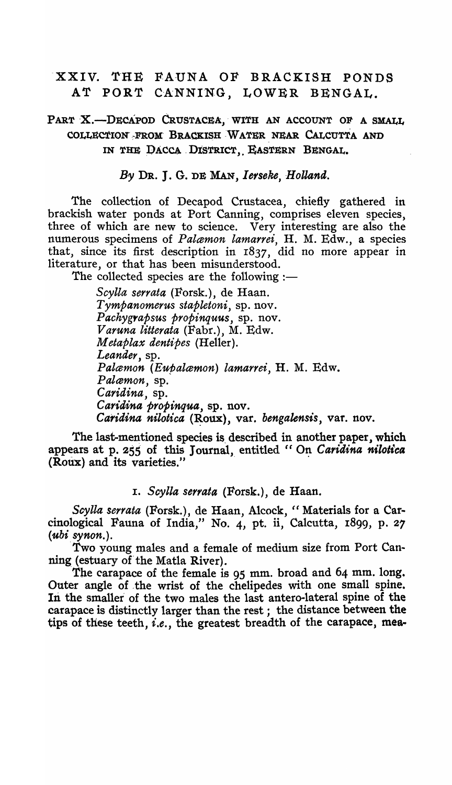# XXIV. THE FAUNA OF BRACKISH PONDS AT PORT CANNING, LOWER BENGAL.

# PART X.-DECAPOD CRUSTACEA, WITH AN ACCOUNT OF A SMALL COLLECTION FROM BRACKISH WATER NEAR CALCUTTA AND IN THE DACCA DISTRICT, EASTERN BENGAL.

#### By DR. J. G. DE MAN, Ierseke, Holland.

The collection of Decapod Crustacea, chiefly gathered in brackish water ponds at Port Canning, comprises eleven species, three of which are new to science. Very interesting are also the numerous specimens of *Palamon lam arrei* , H. M. Edw., a species that, since its first description in r837, did no more appear in literature, or that has been misunderstood.

The collected species are the following  $:$ 

*Scylla serrata* (Forsk.), de Haan. *Tympanomerus stapletoni*, sp. nov. *P achygrapsus propinquus,* sp. nov. *Varuna litterata* (Fabr.), M. Edw. *M etaplax dentipes* (Heller). Leander, sp. *Palamon (Eupalamon) lamarrei,* H. M. Edw.  $Palamon$ , sp. *Caridina*, sp. *Caridina propinqua*, sp. nov. *Caridina nilotica* (Roux), var. *bengalensis*, var. nov.

The last-mentioned species is described in another paper, which appears at p. 255 of this Journal, entitled " On Caridina nilotica (Roux) and its varieties."

#### I. *Scylla serrata* (Forsk.), de Haan.

Scylla serrata (Forsk.), de Haan, Alcock, "Materials for a Carcinological Fauna of India," No. 4, pt. ii, Calcutta, 1899, p. 27 *(ubi synon.).* 

Two young males and a female of medium size from Port Canning (estuary of the Matla River).

The carapace of the female is 95 mm. broad and 64 mm. long. Outer angle of .the wrist of the chelipedes with one small spine. In the smaller of the two males the last antero-lateral spine of the carapace is distinctly larger than the rest; the distance between the tips of these teeth, *i.e.*, the greatest breadth of the carapace, mea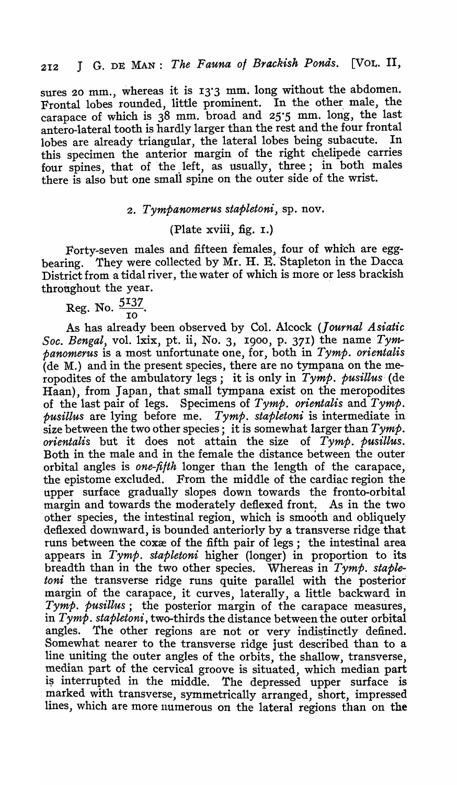sures 20 mm., whereas it is 13'3 mm. long without the abdomen. Frontal lobes rounded, little prominent. In the other male, the carapace of which is 38 mm. broad and 25.5 mm. long, the last antero-Iateral tooth is hardly larger than the rest and the four frontal lobes are already triangular, the lateral lobes being subacute. this specimen the anterior margin of the right chelipede carries four spines, that of the left, as usually, three; in both males there is also but one small spine on the outer side of the wrist.

### *2. Tympanomerus stapletoni,* sp. nov.

## (Plate xviii, fig. I.)

Forty-seven males and fifteen females, four of which are eggbearing. They were collected by Mr. H. E. Stapleton in the Dacca District from a tidal river, the water of which is more or less brackish throughout the year.

Reg. No.  $\frac{5137}{ }$ . 10

As has already been observed by Col. Alcock *(Journal Asiatic*  Soc. Bengal, vol. lxix, pt. ii, No. 3, 1900, p. 371) the name  $Tym$ *panomerus* is a most unfortunate one, for, both in *Tymp. orientalis*  (de M.) and in the present species, there are no tympana on the meropodites of the ambulatory legs; it is only in *Tymp. pusillus-* (de Haan), from Japan, that small tympana exist on the meropodites of the last pair of legs. Specimens of *Tymp. orientalis* and *Tymp. pusillus* are lying before me. *Tymp. stapletoni* is intermediate in size between the two other species; it is somewhat larger than *Tymp. orientalis* but it does not attain the size of *Tymp. pusillus.*  Both in the male and in the female the distance between the outer orbital angles is *one-filth* longer than the length of the carapace, the epistome excluded. From the middle of the cardiac region the upper surface gradually slopes down towards the fronto-orbital margin and towards the moderately deflexed front. As in the two other species, the intestinal region, which is smooth and obliquely deflexed downward, is bounded anteriorly by a transverse ridge that runs between the coxxe of the fifth pair of legs; the intestinal area appears in *Tymp. stapletoni* higher (longer) in proportion to its breadth than in the two other species. Whereas in *Tymp. staple*toni the transverse ridge runs quite parallel with the posterior margin of the carapace, it curves, laterally, a little backward in *Tymp. pusillus*; the posterior margin of the carapace measures, in *Tymp. stapletoni,* two-thirds the distance between the outer orbital angles. The other regions are not or very indistinctly defined. Somewhat nearer to the transverse ridge just described than to a line uniting the outer angles of the orbits, the shallow, transverse, median part of the cervical groove is situated, which median part<br>is interrupted in the middle. The depressed upper surface is The depressed upper surface is marked with transverse, symmetrically arranged, short, impressed lines, which are more numerous on the lateral regions than on the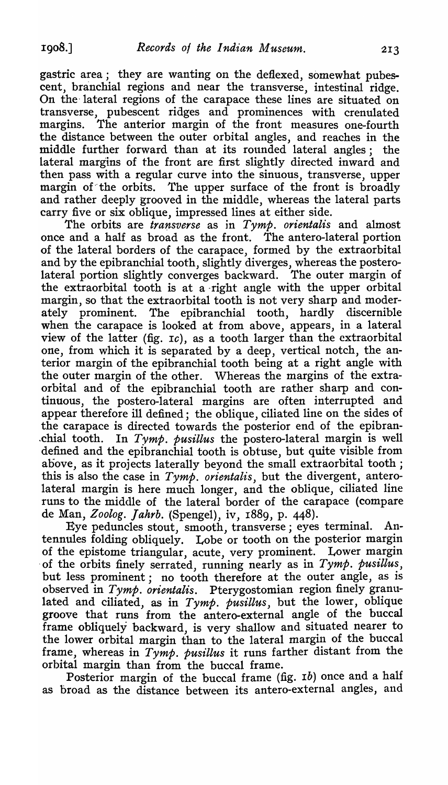gastric area; they are wanting on the defiexed, somewhat pubescent, branchial regions and near the transverse, intestinal ridge. On the'lateral regions of the carapace these lines are situated on transverse, pubescent ridges and prominences with crenulated margins. The anterior margin of the front measures one-fourth the distance between the outer orbital angles, and reaches in the middle further forward than at its rounded lateral angles; the lateral margins of the front are first slightly directed inward and then pass with a regular curve into the sinuous, transverse, upper margin of the orbits. The upper surface of the front is broadly and rather deeply grooved in the middle, whereas the lateral parts carry five or six oblique, impressed lines at either side.

The orbits are *transverse* as in *Tymp. orientalis* and almost once and a half as broad as the front. The antero-Iateral portion of the lateral borders of the carapace, formed by the extraorbital and by the epibranchial tooth, slightly diverges, whereas the posterolateral portion slightly converges backward. The outer margin of the extraorbital tooth is at a right angle with the upper orbital margin, so that the extraorbital tooth is not very sharp and moderately prominent. The epibranchial tooth, hardly discernible when the carapace is looked at from above, appears, in a lateral view of the latter (fig. *IC),* as a tooth larger than the cxtraorbital one, from which it is separated by a deep, vertical notch, the anterior margin of the epibranchial tooth being at a right angle with the outer margin of the other. Whereas the margins of the extraorbital and of the epibranchial tooth are rather sharp and continuous, the postero-Iateral margins are often interrupted and appear therefore ill defined; the oblique, ciliated line on the sides of the carapace is directed towards the posterior end of the epibran- .chial tooth. In *Tymp. pusillus* the postero-Iateral margin is well defined and the epibranchial tooth is obtuse, but quite visible from above, as it projects laterally beyond the small extraorbital tooth; this is also the case in *Tymp. orientalis,* but the divergent, anterolateral margin is here much longer, and the oblique, ciliated line runs to the middle of the lateral border of the carapace (compare de Man, *Zoolog. Jahrb.* (Spengel), iv, 1889, p. 448).

Eye peduncles stout, smooth, transverse; eyes terminal. Antennules folding obliquely. Lobe or tooth on the posterior margin of the epistome triangular, acute, very prominent. Lower margin 'of the orbits finely serrated, running nearly as in *Tymp. pusillus,*  but less prominent; no tooth therefore at the outer angle, as is observed in *Tymp. orientalis.* Pterygostomian region finely granulated and ciliated, as in *Tymp. pusillus,* but the lower, oblique groove that runs from the antero-external angle of the buccal frame obliquely backward, is very shallow and situated nearer to the lower orbital margin than to the lateral margin of the buccal frame, whereas in *Tymp. pusillus* it runs farther distant from the orbital margin than from the buccal frame.

Posterior margin of the buccal frame (fig. 1b) once and a half as broad as the distance between its antero-external angles, and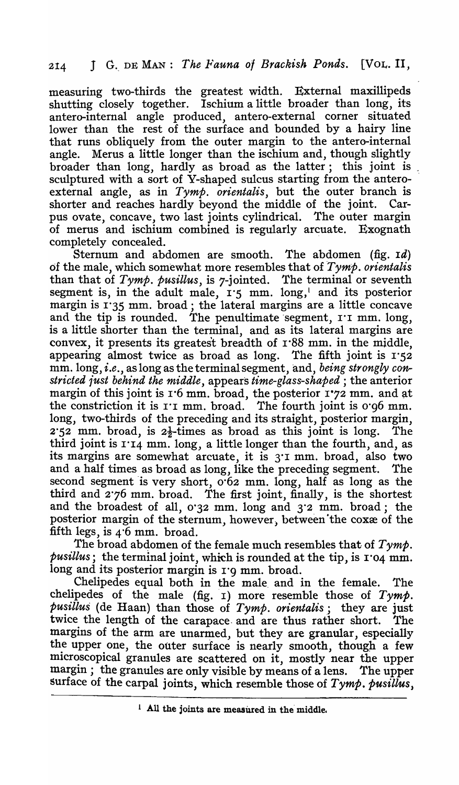measuring two-thirds the greatest width. External maxillipeds shutting closely together. Ischium a little broader than long, its antero-internal angle produced, antero-external corner situated lower than the rest of the surface and bounded by a hairy line that runs obliquely from the outer margin to the antero-internal angle. Merus a little longer than the ischium and, though slightly broader than long, hardly as broad as the latter; this joint is " sculptured with a sort of Y-shaped sulcus starting from the anteroexternal angle, as in *Tymp. orientalis,* but the outer branch is shorter and reaches hardly beyond the middle of the joint. Carpus ovate, concave, two last joints cylindrical. The outer margin of merus and ischium combined is regularly arcuate. Exognath completely concealed.

Sternum and abdomen are smooth. The abdomen (fig. *Id)*  6f the male, which somewhat more resembles that of *Tymp. orientalis* than that of *Tymp. pusillus,* is 7-jointed. The terminal or seventh segment is, in the adult male, 1.5 mm. long,<sup>1</sup> and its posterior margin is 1'35 mm. broad; the lateral margins are a little concave and the tip is rounded. The penultimate segment,  $r \tau$  mm. long, is a little shorter than the terminal, and as its lateral margins are convex, it presents its greatest breadth of 1'88 mm. in the middle, appearing almost twice as broad as long. The fifth joint is  $1.52$ mm.long, *i,e.,* as long as the terminal segment, and, *being strongly constricted 1'ust behind the middle,* appears *time-glass-shaped* ; the anterior margin of this joint is 1'6 mm. broad, the posterior 1-72 mm. and at the constriction it is r'I mm. broad. The fourth joint is 0'g6 mm. long, two-thirds of the preceding and its straight, posterior margin,  $2.52$  mm, broad, is  $2\frac{1}{2}$ -times as broad as this joint is long. The third joint is  $114 \text{ mm}$ . long, a little longer than the fourth, and, as its margins are somewhat arcuate, it is 3'1 mm. broad, also two and a half times as broad as long, like the preceding segment. The second segment is very short,  $o·62$  mm. long, half as long as the third and 2'76 mm, broad. The first joint, finally, is the shortest and the broadest of all, 0'32 mm. long and 3'2 mm. broad; the posterior margin of the sternum, however, between the cox $x$  of the fifth legs, is 4'6 mm, broad.

The broad abdomen of the female much resembles that of  $Tymp$ . *pusillus;* the terminal joint, which is rounded at the tip, is 1'04 mm. long and its posterior margin is 1'9 mm. broad.

Chelipedes equal both in the male, and in the female. The chelipedes of the male (fig.  $\mathbf{I}$ ) more resemble those of  $Tymp$ . *pusillus* (de Haan) than those of *Tymp, orientalis;* they are just twice the length of the carapace. and are thus rather short, The margins of the arm are unarmed, but they are granular, especially the upper one, the outer surface is nearly smooth, though a few microscopical granules are scattered on it, mostly near the upper margin; the granules are only visible by means of a lens. The upper surface of the carpal joints, which resemble those of *Tymp. pusillus*,

 $1$  All the joints are measured in the middle.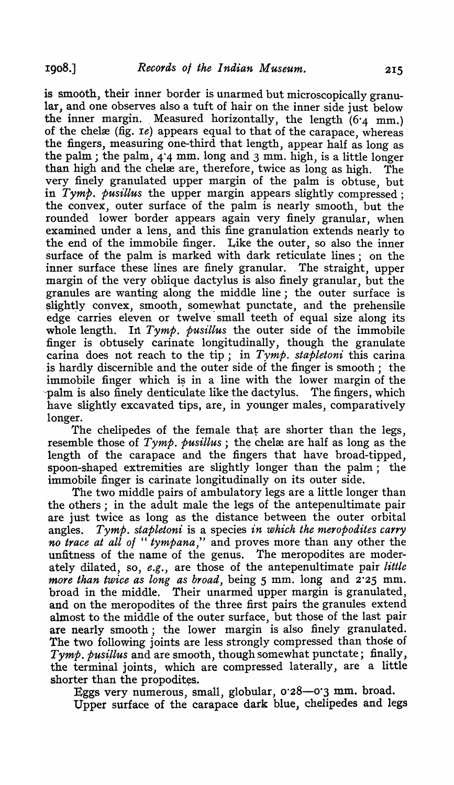is smooth, their inner border is unarmed but microscopically granular, and one observes also a tuft of hair on the inner side just below the inner margin. Measured horizontally, the length  $(6.4 \text{ mm.})$ of the chelæ (fig. *Ie*) appears equal to that of the carapace, whereas the fingers, measuring one-third that length, appear half as long as the palm; the palm, 4'4 mm. long and 3 mm. high, is a little longer than high and the chelæ are, therefore, twice as long as high. The very finely granulated upper margin of the palm is obtuse, but in *Tymp. pusillus* the upper margin appears slightly compressed; the convex, outer surface of the palm is nearly smooth, but the rounded lower 'border appears again very finely granular, when examined under a lens, and this fine granulation extends nearly to the end of the immobile finger. Like the outer, so also the inner surface of the palm is marked with dark reticulate lines; on the inner surface these lines are finely granular. The straight, upper margin of the very oblique dactylus is also finely granular, but the granules are wanting along the middle line; the outer surface is slightly convex, smooth, somewhat punctate, and the prehensile edge carries eleven or twelve small teeth of equal size along its whole length. In  $Tymp$ , pusillus the outer side of the immobile In Tymp. pusillus the outer side of the immobile finger is obtusely carinate longitudinally, though the granulate carina does not reach to the tip; in *Tymp. stapletoni* this carina is hardly discernible and the outer side of the finger is smooth; the immobile finger which is in a line with the lower margin of the palm is also finely denticulate like the dactylus. The fingers, which palm is also finely denticulate like the dactylus. have slightly excavated tips, are, in younger males, comparatively longer.

The chelipedes of the female that are shorter than the legs, resemble those of  $Tymp$ , pusillus; the chelxe are half as long as the length of the carapace and the fingers that have broad-tipped, spoon-shaped extremities are slightly longer than the palm; the immobile finger is carinate longitudinally on its outer side.

The two middle pairs of ambulatory legs are a little longer than the others; in the adult male the legs of the antepenultimate pair are just twice as long as the distance between the outer orbital angles. *Tymp. stapletoni* is a species *in which the meropodites carry no trace at all 0/* " *tympana,"* and proves more than any other the unfitness of the name of the genus. The meropodites are moderately dilated, so, *e.g.,* are those of the antepenultimate pair *little more than twice as long as broad,* being 5 mm. long and 2'25 mm. broad in the middle. Their unarmed upper margin is granulated, and on the meropodites of the three first pairs the granules extend almost to the middle of the outer surface, but those of the last pair are nearly smooth; the lower margin is also finely granulated. The two following joints are less strongly compressed than those of *Tymp. pusillus* and are smooth, though somewhat punctate; finally, the terminal joints, which are compressed laterally, are a little shorter than the propodites.

Eggs very numerous, small, globular, 0'28-0'3 mm. broad. Upper surface of the carapace dark blue, chelipedes and legs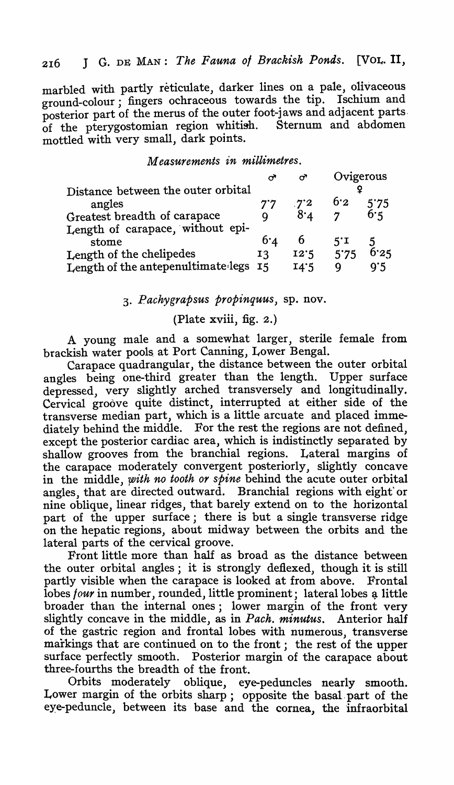# 216 J G. DE MAN: *The Fauna of Brackish Ponds.* [VOL. **II,**

marbled with partly reticulate, darker lines on a pale, olivaceous ground-colour; fingers ochraceous towards the tip. Ischium and posterior part of the merus of the outer foot-Jaws and adJacent parts. of the pterygostomian region whitish. Sternum and abdomen mottled with very small, dark points.

#### *Measurements in millimetres.*

|                                              |             | ᢦ            | Ovigerous      |      |  |
|----------------------------------------------|-------------|--------------|----------------|------|--|
| Distance between the outer orbital<br>angles | $7^\cdot 7$ | $7^{\circ}2$ | 6.2            | 5'75 |  |
| Greatest breadth of carapace                 | Q           | 8·           | $\overline{7}$ | 6.5  |  |
| Length of carapace, without epi-<br>stome    | 6.4         | b            | $5^{\circ}$ I  |      |  |
| Length of the chelipedes                     | 13          | 12.5         | 5.75           | 6.25 |  |
| Length of the antepenultimate legs           | I5          | I4.5         | Q              | 9.5  |  |

#### 3" *Pachygrapsus propinquus,* sp. nov.

## (Plate xviii, fig. 2.)

A young male and a somewhat larger, sterile female from brackish water pools. at Port Canning, Lower Bengal.

Carapace quadrangular, the distance between the outer orbital angles being one-third greater than the length. Upper surface depressed, very slightly arched transversely and longitudinally. Cervical groove quite distinct, interrupted at either side of the transverse median part, which is a little arcuate and placed immediately behind the middle. For the rest the regions are not defined, except the posterior cardiac area, which is indistinctly separated by shallow grooves from the branchial regions. Lateral margins of the carapace moderately convergent posteriorly, slightly concave in the middle, *with no tooth or spine* behind the acute outer orbital angles, that are directed outward. Branchial regions with eight' or nine oblique, linear ridges, that barely extend on to the horizontal part of the upper surface; there is but a single transverse ridge on the hepatic regions, about midway between the orbits and the lateral parts of the cervical groove.

Front little more than half as broad as the distance between the outer orbital angles; it is strongly deflexed, though it is still partly visible when the carapace is looked at from above. Frontal lobes *four* in number, rounded, little prominent; lateral lobes a little broader than the internal ones; lower margin of the front very slightly concave in the middle, as in *Pack. minutus.* Anterior half of the gastric region and frontal lobes with numerous, transverse markings that are continued on to the front; the rest of the upper surface perfectly smooth. Posterior margin of the carapace about three-fourths the breadth of the front.

Orbits moderately oblique, eye-peduncles nearly smooth. Lower margin of the orbits sharp; opposite the basal-part of the eye-peduncle, between its base and the cornea, the infraorbital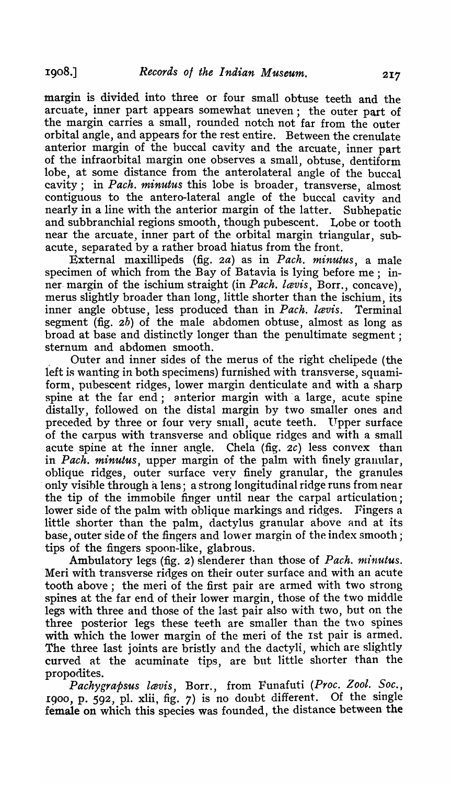margin is divided into three or four small obtuse teeth and the arcuate, inner part appears somewhat uneven; the outer part of the margin carries a small, rounded notch not far from the outer orbital angle, and appears for the rest entire. Between the crenulate anterior margin of the buccal cavity and the arcuate, inner part of the infraorbital margin one observes a small, obtuse, dentiform lobe, at some distance from the anterolateral angle of the buccal cavity; in *Pack. minutus* this lobe is broader, transverse, almost contiguous to the antero-Iateral angle of the buccal cavity and nearly in a line with the anterior margin of the latter. Subhepatic and subbranchial regions smooth, though pubescent. Lobe or tooth near the arcuate, inner part of the orbital margin triangular, subacute, separated by a rather broad hiatus from the front.

External maxillipeds (fig. *2a)* as in *Pack. minutus,* a male specimen of which from the Bay of Batavia is lying before me; inner- margin of the ischium straight (in *Pach. lavis*, Borr., concave), merus slightly broader than long, little shorter than the ischium, its inner angle obtuse, less produced than in *Pach. lavis*. Terminal segment (fig. 2b) of the male abdomen obtuse, almost as long as broad at base and distinctly longer than the penultimate segment; sternum and abdomen smooth.

, Outer and inner sides of the merus of the right chelipede (the left is wanting in both specimens) furnished with transverse, squamiform, pubescent ridges, lower margin denticulate and with a sharp spine at the far end; anterior margin with a large, acute spine distally, followed on the distal margin by two smaller ones and preceded by three or four very small, acute teeth. Upper surface of the carpus with transverse and oblique ridges and with a sma11 acute spine at the inner angle. Chela (fig.  $2c$ ) less convex than in *Pack. minutus,* upper margin of the palm with finely granular, oblique ridges, outer surface very finely granular, the granules . only visihle through a lens; a strong longitudinal ridge runs from near the tip of the immobile finger until near the carpal articulation; lower side of the palm with oblique markings and ridges. Fingers a little shorter than the palm, dactylus granular above and at its base, outer side of the fingers and lower margin of the index smooth; tips of the fingers spoon-like, glabrous.

Ambulatory legs (fig. 2) slenderer than those of *Pach. minutus.* Meri with transverse ridges on their outer surface and with an acute tooth above; the meri of the first pair are armed with two strong spines at the far end of their lower margin, those of the two middle legs with three and those of the last pair also with two, but on the three posterior legs these teeth are smaller than the two spines with which the lower margin of the meri of the 1st pair is armed. The three last joints are bristly and the dactyli, which are slightly curved at the acuminate tips, are but little shorter than the propodites.

Pachygrapsus lavis, Borr., from Funafuti (Proc. Zool. Soc., 1900, p. 592, pl. xlii, fig. 7) is no doubt different. Of the single female on which this species was founded, the distance between the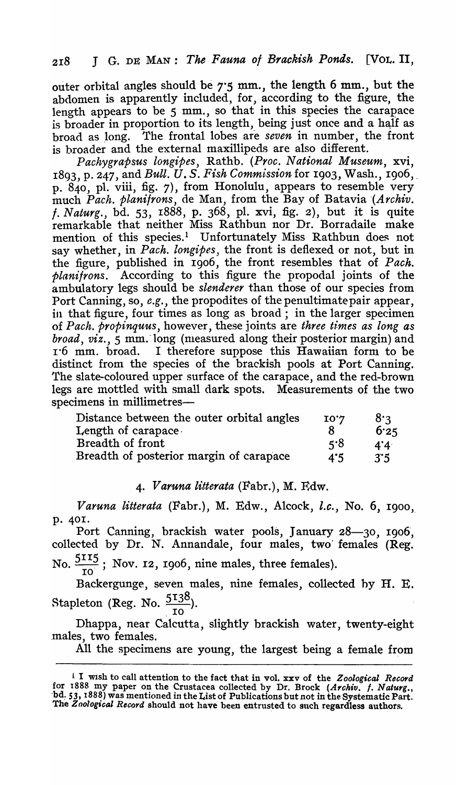outer orbital angles should be 7·5 mm., the length 6 mm., but the abdomen is apparently included, for, according to the figure, the length appears to be  $5$  mm., so that in this species the carapace is broader in proportion to its length, being just once and a haJf as broad as long. The frontal lobes are *seven* in number, the front is broader and the external maxillipeds are also different.

*Packygrapsus longipes,* Rathb. *(Proc. National Museum,* xvi, 1893, p. 247, and *Bull. U\_ S. Fisk Comml:ssionfor* 19<sup>0</sup> 3, Wash., 1906,\_ p. 84<sup>0</sup> , pI. viii, fig. 7), from Honolulu, appears to resemble very much *Pack. planitrons,* de Man, from the Bay of Batavia *'(Archiv, t. Naturg.,* bd. 53, 1888, p. 368) pI. xvi, fig. 2), but it is quite remarkable that neither Miss Rathbun nor Dr, Borradaile make mention of this species.<sup>1</sup> Unfortunately Miss Rathbun does not say whether, in *Pack. longipes,* the front is deflexed or not, but in the figure, published in 1906, the front resembles that of *Pack, planifrons.* According to this figure the propodul joints of the ambulatory legs should be *slenderer* than those of our species from Port Canning, so, *e.g.,* the propodites of the penultimate pair appear, in that figure, four times as long as broad; in the larger specimen of *Pach. propinquus*, however, these joints are *three times as long as broad, viz.,* 5 mm,' long (nleasured along their posterior margin) and 1.6 mm. broad. I therefore suppose this Hawaiian form to be distinct from the species of the brackish pools at Port Canning. The slate-coloured upper surface of the carapace, and the red-brown legs are mottled with small dark spots. Measurements of the two specimens in millimetres-

| Distance between the outer orbital angles | 10.4 | 8'२                  |
|-------------------------------------------|------|----------------------|
| Length of carapace $\cdot$                |      | 6.25                 |
| Breadth of front                          | ร'8  | $4^{\circ}4^{\circ}$ |
| Breadth of posterior margin of carapace   | 4:5  | 3.5                  |

#### *4. Varuna litterata* (Fabr.), M. Rdw.

*Varuna litterata* (Fabr.), M. Edw., Alcock, *l.c.*, No. 6, 1900, p. 40I.

Port Canning, brackish water pools, January 28-30, 1906, collected by Dr. N. Annandale, four males, two' females (Reg. No. <sup>2</sup>  $\frac{115}{10}$ ; Nov. 12, 1906, nine males, three females).

Backergunge, seven males, nine females, collected hy H. E. Stapleton (Reg. No.  $\frac{5138}{ }$ ).  $\overline{10}$ 

Dhappa, near Calcutta, slightly brackish water, twenty-eight ,males, two females.

All the specimens are young, the largest being a female from

L I Wlsh to call attention to the fact that in vol. xxv of the *Zoological Record*  for 1888 my paper on the Crustacea collected by Dr. Brock (Archiv. f. Naturg., -bd,. 53, 1888) was mentioned in the List of Publications but not in the Systematic Part. The *Zoological Record* should not have been entrusted to such regardless authors.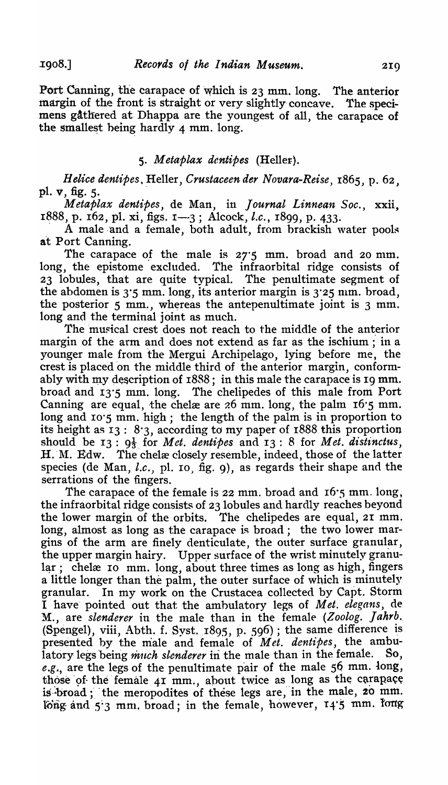Port Canning, the carapace of which is 23 mm. long. The anterior margin of the front is straight or very slightly concave. The specimens gAthered at Dhappa are the youngest of all, the carapace of the smallest being hardly  $4$  mm. long.

## *5. Metaplax dentipes* (Hellet).

*Helice dentipes, Heller, Crustaceen der Novara-Reise, 1865, p. 62,* pl. v, fig. 5.

Metaplax dentipes, de Man, in *Journal Linnean Soc.*, xxii, 1888, p. 162, pl. xi, figs. 1-3; Alcock, *l.c.*, 1899, p. 433.

A male and a female, both adult, from brackish water pools at Port Canning.

The carapace of the male is  $27.5$  mm. broad and 20 mm. long, the epistome excluded. The infraorbital ridge consists of 23 lobules, that are quite typical. The penultimate segment of the abdomen is  $3.5$  mm. long, its anterior margin is  $3.25$  mm. broad, the posterior  $5 \text{ mm}$ , whereas the antepenultimate joint is  $3 \text{ mm}$ . long and the terminal joint as much.

The musical crest does not reach to the middle of the anterior margin of the arm and does not extend as far as the ischium ; in a younger male from the Mergui Archipelago, lying before me, the crest is placed 'on the middle third of the anterior margin, conformably with my description of  $1888$ ; in this male the carapace is 19 mm. broad and 13·5 mm. long. The chelipedes of this male from Port Canning are equal, the chelæ are  $26$  mm. long, the palm  $16.5$  mm. long and 10.5 mm. high; the length of the palm is in proportion to its height as 13: 8·3, according to my paper of 1888 this proportion should be  $I_3: 9\frac{1}{3}$  for *Met. dentipes* and  $I_3: 8$  for *Met. distinctus*, H. M. Edw. The chelæ closely resemble, indeed, those of the latter species (de Man, *l.c.*, pl. 10, fig. 9), as regards their shape and the serrations of the fingers.

The carapace of the female is 22 mm. broad and 16.5 mm. long, the infraorbital ridge consists of 23 lobules and hardly reaches beyond the lower margin of the orbits. The chelipedes are equal, 21 mm. long, almost as long as the carapace is broad; the two lower margins of the arm are finely denticulate, the outer surface granular, the upper margin hairy. Upper surface of the wrist minutely granular; chelæ Io mm. long, about three times as long as high, fingers a little longer than the palm, the outer surface of which is minutely granular. In my work on the Crustacea collected by Capt. Storm I have' pointed out that the amhulatory legs of *Met. elegans,* de M., are *slenderer* in the male than in the female *(Zoolog. Jahrb ..*  (Spengel), viii, Abth. f. Syst.  $1895$ , p. 596); the same difference is presented by the male and female of *Met. dentipes*, the ambu-<br>latory legs being *much slenderer* in the male than in the female. So, latory legs being *much slenderer* in the male than in the female. e.g., are the legs of the penultimate pair of the male 56 mm. long, those of the female  $41$  mm., about twice as long as the carapace is broad; the meropodites of these legs are, in the male, 20 mm. long and 5.3 mm. broad; in the female, however,  $14.5$  mm. long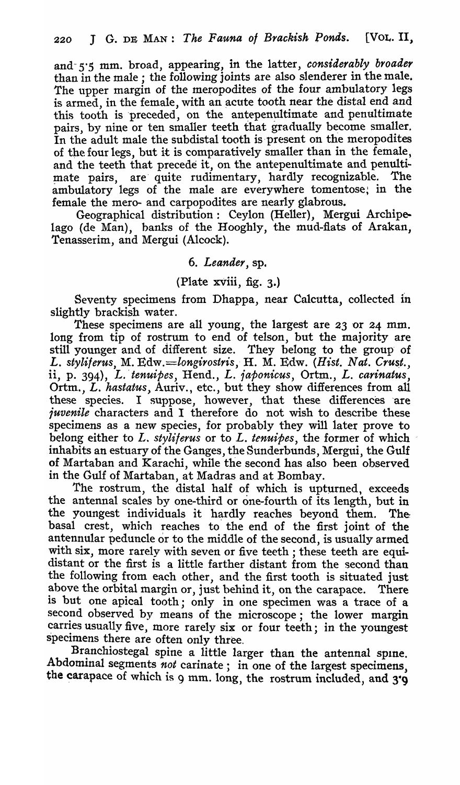and- 5'S mm. broad, appearing, in the latter, *considerably broader*  than in the male; the following joints are also slenderer in the male. The upper margin of the meropodites of the four ambulatory legs is armed, in the female, with an acute tooth near the distal end and this tooth is preceded, on the antepenultimate and penultimate pairs, by nine or ten smaller teeth that gradually become smaller. In the adult male the subdistal tooth is present on the meropodites of the four legs, but it is comparatively smaller than in the female, and the teeth that precede it, on the antepenultimate and penultimate pairs, are' quite rudimentary, hardly recognizable. The ambulatory legs of the male are everywhere tomentose; in the female the mero- and carpopodites are nearly glabrous.

Geographical distribution: Ceylon (Heller), Mergui Archipelago (de Man), banks of the Hooghly, the mud-flats of Arakan, Tenasserim, and Mergui (Alcock).

## 6. *Leander,* sp.

# (Plate xViii, fig. 3.)

Seventy specimens from Dhappa, near Calcutta, collected in slightly brackish water.

These specimens are all young, the largest are 23 or 24 mm. long from tip of rostrum to end of telson, but the majority are still younger and of different size. They belong to the group' of L. styliferus, M. Edw.=longirostris, H. M. Edw. (Hist. Nat. Crust., ii, p. 394), L. *'tenuipes,* Hend., L. *iaponicus,* Ortm., L. *carinatus,*  Ortm., L. *hastatus,* Auriv., etc., but they show differences from all these species. I suppose, however, that these differences are *juvenile* characters and I therefore do not wish to describe these specimens as a new species, for probably they will later prove to belong either to *L. styli/crus* or to *L. tenuipes,* the former of which inhabits an estuary of the Ganges, the Sunderbunds, Mergui, the Gulf of Martaban and Karachi, while the second has also been observed in the Gulf of Mattaban, at Madras and at Bombay.

The rostrum, the distal half of which is upturned, exceeds the antennal scales by one-third or one-fourth of its length, but in the youngest individuals it hardly reaches beyond them. The basal crest, which reaches to the end of the first joint of the antennular peduncle or to the middle of the second, is usually armed with six, more rarely with seven or five teeth; these teeth are equidistant or the first is a little farther distant from the second than the following from each other, and the first tooth is situated just above the orbital margin or, just behind it, on the carapace. There is but one apical tooth; only in one specimen was a trace of a second observed by means of the microscope; the lower margin carries usually five, more rarely six or four teeth; in the youngest specimens there are often only three.

Branchiostegal spine a little larger than the antennal spine. Abdominal segments not carinate; in one of the largest specimens, the carapace of which is 9 mm. long, the rostrum included, and  $3.9$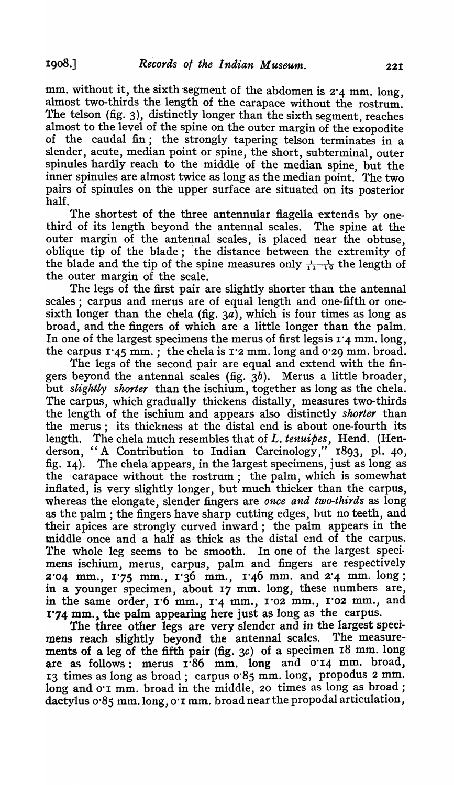mm. without it, the sixth segment of the abdomen is  $2.4 \text{ mm}$ . long, almost two-thirds the length of the carapace without the rostrum. The telson  $(fig. 3)$ , distinctly longer than the sixth segment, reaches almost to the level of the spine on the outer margin of the exopodite of the caudal fin; the strongly tapering telson terminates in a slender, acute, median point or spine, the short, subterminal, outer spinules hardly reach to the middle of the median spine, but the inner spinules are almost twice as long as the median point. The two pairs of spinules on the upper surface are situated on its posterior half.

The shortest of the three antennular flagella extends by onethird of its length beyond the antennal scales. The spine at the outer margin of the antennal scales, is placed near the obtuse, oblique tip of the blade; the distance between the extremity of the blade and the tip of the spine measures only  $\frac{1}{11} - \frac{1}{10}$  the length of the outer margin of the scale.

The legs of the first pair are slightly shorter than the antennal scales; carpus and merus are of equal length and one-fifth or onesixth longer than the chela (fig.  $3a$ ), which is four times as long as broad, and the fingers of which are a little longer than the palm. In one of the largest specimens the merus of first legs is  $1'$ 4 mm. long, the carpus  $1'45$  mm.; the chela is  $1'2$  mm. long and 0'29 mm. broad.

The legs of the second pair are equal and extend with the fingers beyond the antennal scales (fig.  $3b$ ). Merus a little broader, but *slightly shorter* than the ischium, together as long as the chela. The carpus, which gradually thickens distally, measures two-thirds the length of the ischium and appears also distinctly *shorter* than the merus; its thickness at the distal end is about one-fourth its length. The chela much resembles that of *L. tenuipes,* Hend. (Henderson, "A Contribution to Indian Carcinology," 1893, pI. 40, fig. 14). The chela/appears, in the largest specimens, just as long as the carapace without the rostrum; the palm, which is somewhat inflated, is very slightly longer, but much thicker than the carpus, whereas the elongate, slender fingers are *once and two-thirds* as long as the palm; the fingers have sharp cutting edges, but no teeth, and their apices are strongly curved inward; the palm appears in the middle once and a half as thick as the distal end of the carpus. The whole leg seems to be smooth. In one of the largest specimens ischium, merus, carpus, palm and fingers are respectively  $2.04$  mm.,  $1.75$  mm.,  $1.36$  mm.,  $1.46$  mm. and  $2.4$  mm. long; in a younger specimen, about 17 mm. long, these numbers are, in the same order, 1.6 mm., 1.4 mm., 1.02 mm., 1.02 mm., and 1.74 mm., the palm appearing here just as long as the carpus.

The three other legs are very slender and in the largest specimens reach slightly beyond the antennal scales. The measurements of a leg of the fifth pair (fig.  $3c$ ) of a specimen 18 mm. long are as follows: merus 1'86 mm, long and 0'14 mm. broad, I3 times as long as broad; carpus 0'85 mm. long, propodus 2 mm, long and o'I mm. broad in the middle, 20 times as long as broad; dactylus 0-85 mm.long, 0'1 mm, broad near the propodal articulation,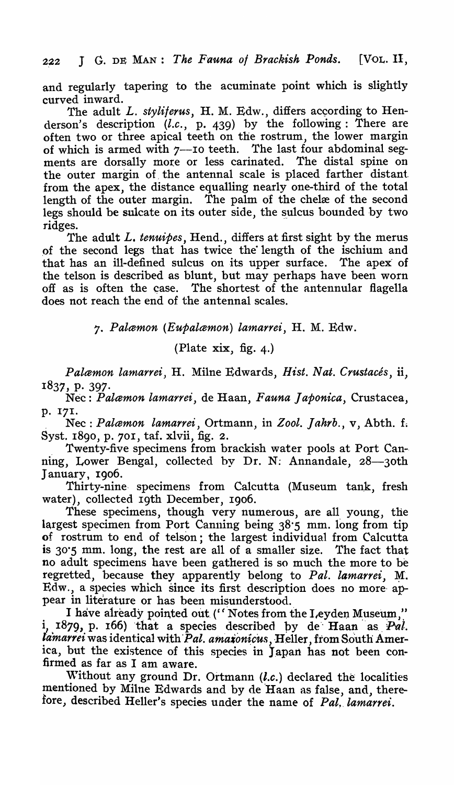and regularly tapering to the acuminate point which is slightly curved inward.

The adult *L. styliferus*, H. M. Edw., differs according to Henderson's description *(l.c.,* p. 439) by the following: There are often two or three apical teeth on the rostrum, the lower margin of which is armed with 7--10 teeth. The last four abdominal segments are dorsally more or less carinated. The distal spine on the 'outer margin of, the antennal scale is placed farther distant. from the apex, the distance equalling nearly one-third of the total length of the outer margin. The palm of the chelæ of the second legs should be sulcate on its outer side, the sulcus bounded by two ridges.

The adult L. *tenuipes,* Hend., differs at first sight by the merus of the second legs that has twice the length of the ischium and that has an ill-defined sulcus on its upper surface. The apex of the telson is described as blunt, but may perhaps have been worn off as is often the case. The shortest of the antennular flagella does not reach the end of the antennal scales.

7" *Palcemon (Eupalcemon) la'Jnarrei,* H. M. Edw.

(Plate xix, fig. 4.)

*Palæmon lamarrei, H. Milne Edwards, Hist. Nat. Crustacés, ii,* 1837, p. 397·

Nee: *Palcemon lamarrei,* de Haan, *Fauna Japonica,* Crustacea, p. 171 .

Nec: *Palæmon lamarrei*, Ortmann, in Zool. Jahrb., v, Abth. f. Syst. 1890, p. 701, taf. xlvii, fig. 2.

Twenty-five specimens from brackish water pools at Port Canning, Lower Bengal, collected by Dr. N: Annandale, 28-30th January, 1906.

Thirty-nine specimens from Calcutta (Museum tank, fresh water), collected 19th December, 1906.

These specimens, though very numerous, are all young, the largest specimen from Port Canning being 38.5 mm. long from tip of rostrum to end of telson; the largest individual from Calcutta is 30"5 mm. long, the rest are all of a smaller size. The fact that no adult specimens have been gathered is so much the more to be regretted, because they apparently belong to Pal. lamarrei, M. Edw., a species which since its first description does no more· appear in literature or has been misunderstood.

I have already pointed out ("Notes from the Leyden Museum," i, 1879, p. 166) that a species described by de Haan as  $Pal.$ *lamarrei* was identical with Pal. amaxonicus, Heller, from South America, but the existence of this species in Japan has not been confirmed as far as I am aware.

Without any ground Dr. Ortmann  $(l.c.)$  declared the localities mentioned by Milne Edwards and by de 'Haan as false, and, therefore, described Heller's species under the name of Pal. lamarrei.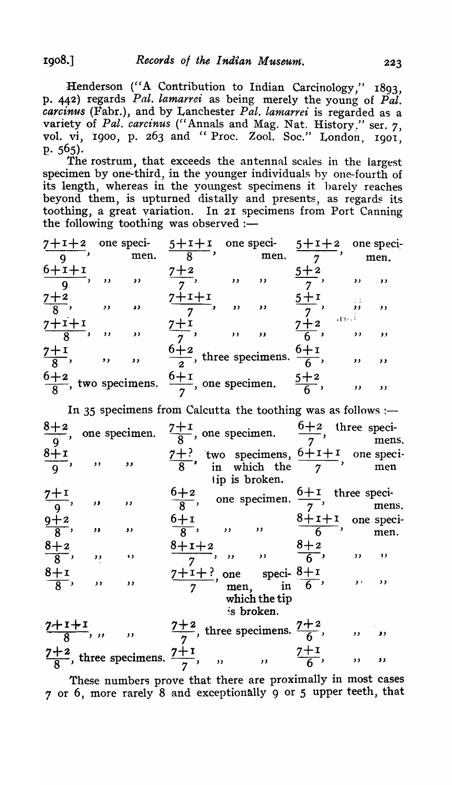Henderson ("A Contribution to Indian Carcinology," 1893, p. 442) regards *Pal. lamarrei* as being merely the young of *Pal. carcinus* (Fabr.), and by Lanchester *Pal. lamarrei* is regarded as a variety of Pal. carcinus ("Annals and Mag. Nat. History." ser. 7, vol. vi, 1900, p. 263 and "Proc. Zool. Soc." London, 1901, p.  $565$ ).

The rostrum, that exceeds the antennal scales in the largest specimen by one-third, in the younger individuals by one-fourth of its length, whereas in the youngest specimens it barely reaches beyond them, is upturned distally and presents, as regards its toothing, a great variation. In 21 specimens from Port Canning the following toothing was observed  $:$ 

|                   |                          | men.                     | $7+1+2$ one speci- $5+1+1$ one speci- $5+1+2$                                      |                          | men.                     |                 |                                                 | one speci-<br>men.       |
|-------------------|--------------------------|--------------------------|------------------------------------------------------------------------------------|--------------------------|--------------------------|-----------------|-------------------------------------------------|--------------------------|
| $\frac{6+1+1}{9}$ | $\overline{\phantom{a}}$ | $\overline{\phantom{a}}$ | $7 + 2$                                                                            | $\overline{\phantom{a}}$ | $\overline{\phantom{a}}$ |                 | $\overline{\phantom{a}}$                        | $\mathbf{y}$             |
| $\frac{7+2}{8}$   | $\rightarrow$            | $\overline{\phantom{a}}$ | $7+1+1$                                                                            | $\lambda$                | $\overline{\phantom{a}}$ |                 | $\overline{\mathbf{z}}$<br>$\sim$ 19 $\times$ 1 | $\overline{\phantom{a}}$ |
| $\frac{7+i+1}{8}$ | $\overline{\phantom{a}}$ | $\rightarrow$            |                                                                                    | $\rightarrow$            | $\overline{\phantom{a}}$ | $\frac{7+2}{6}$ | $, \,$                                          | $\mathbf{y}$             |
| $\frac{7+1}{8}$   | $\overline{\mathbf{z}}$  | $\overline{\phantom{a}}$ | $\frac{6+2}{2}$ , three specimens. $\frac{6+1}{6}$ ,                               |                          |                          |                 | , ,                                             | $, \,$                   |
|                   |                          |                          | $\frac{6+2}{8}$ , two specimens. $\frac{6+1}{7}$ , one specimen. $\frac{5+2}{6}$ , |                          |                          |                 | $, \,$                                          | $, \,$                   |

In 35 specimens from Calcutta the toothing was as follows :- $\frac{8+2}{9}$ , one specimen.  $\frac{7+1}{8}$ , one specimen.  $\frac{6+2}{7}$ , three specimens.<br>8+1  $\frac{8+1}{9}$ , , , ,  $\frac{7+?}{8}$ , two specimens,  $\frac{6+1+1}{7}$ , one speciment  $\frac{7+1}{2}$ ,  $9+2$  $\frac{9+2}{8}$ ,  $\frac{8+2}{8}$ ,  $8+1$  $\frac{5+1}{8}$ ,  $\overline{\phantom{a}}$   $\overline{\phantom{a}}$  $\overline{\phantom{a}}$   $\overline{\phantom{a}}$  $\ddot{\mathbf{v}}$  .  $\mathbf{v}$  $\overline{\phantom{a}}$   $\overline{\phantom{a}}$ 1 ip is broken.  $\frac{6+2}{8}$ , one specimen.  $\frac{6+1}{7}$ , three specimens.  $6+1$   $8+1+1$  one speci- $\frac{6+1}{8}$ , one speciment.  $\frac{7}{7}$ , mens<br>  $\frac{6+1}{8}$ , ,, ,,  $\frac{8+1+1}{6}$ , one speciment.  $\frac{8+1+2}{7}$ , ,, ,,  $\frac{8+2}{6}$ , ,, ,,  $\frac{7+1+?}{7}$ , one speci-  $\frac{8+1}{6}$ , ..., which the tip ~s broken.  $\frac{7+1+1}{8}$ , ,, ,,  $\frac{7+2}{7}$ , three specimens.  $\frac{7+2}{6}$ , ,, ,,  $\frac{7+2}{8}$ , three specimens.  $\frac{7+1}{7}$ , ...,  $\frac{7+1}{6}$ , ..., ..., ...

These numbers prove that there are proximally in most cases  $7$  or 6, more rarely 8 and exceptionally 9 or 5 upper teeth, that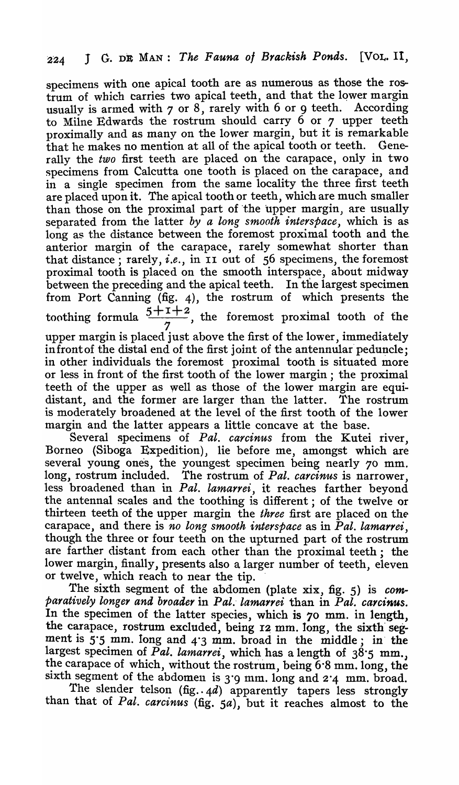specimens with one apical tooth are as numerous as those the rostrum of which carries two apical teeth, and that the lower margin usually is armed with  $7$  or  $8$ , rarely with  $6$  or  $9$  teeth. According to Miine Edwards the rostrum should carry 6 or 7 upper teeth proximally and as many on the lower margin, but it is remarkable that he makes no mention at all of the apical tooth or teeth. Generally the *two* first teeth are placed on the carapace, only in two specimens from Calcutta one tooth is placed on the carapace, and in a single specimen from the same locality the three first teeth are placed upon it. The apical tooth or teeth, which are much smaller than those on the proximal part of the upper margin, are usually separated from the latter *by a long smooth interspace,* which is as long as the distance between the foremost proximal tooth and the anterior margin of the carapace, rarely somewhat shorter than that distance; rarely, *i.e.,* in II out of 56 specimens, the foremost proximal tooth is placed on the smooth interspace, about midway between the preceding and the apical teeth. In the largest specimen from Port Canning (fig. 4), the rostrum of which presents the toothing formula  $\frac{5+1+2}{5}$ , the foremost proximal tooth of the  $7<sub>1</sub>$ upper margin is placed just above the first of the lower, immediately

in front of the distal end of the first joint of the antennular peduncle; in other individuals the foremost proximal tooth is situated more or less in front of the first tooth of the lower margin; the proximal teeth of the upper as well as those of the lower margin are equidistant, and the former are larger than the latter. The rostrum is moderately broadened at the level of the first tooth of the lower margin and the latter appears a little concave at the base.

Several specimens of *Pal. carcinus* from the Kutei river, Borneo (Siboga Expedition), lie before me, amongst which are several young ones, the youngest specimen being nearly 70 mm. long, rostrum included. The rostrum of *Pal. carcinus* is narrower, long, rostitum included. The rostitum of *I all. cartenius* is narrower, less broadened than in *Pal. lamarrei*, it reaches farther beyond the antennal scales and the toothing is different; of the twelve or thirteen teeth of the upper margin the *three* first are placed on the carapace, and there is *no long smooth interspace* as in *Pal. lamarrei*, though the three or four teeth on the upturned part of the rostrum are farther distant from each other than the proximal teeth; the lower margin, finally, presents also a larger number of teeth, eleven or twelve, which reach to near the tip.

The sixth segment of the abdomen (plate xix, fig. 5) is *comparatively longey and broader* in *Pal.- lama1yei* than in *Pal. carcinus.*  In the specimen of the latter species, which is 70 mm. in length, the carapace, rostrum excluded, being 12 mm. long, the sixth segment is 5·5 mm. long and 4·3 mm. broad in the middle; in' the largest specimen of *Pal. lamarrei*, which has a length of 38.5 mm., the carapace of which, without the rostrum, being  $6·8$  mm. long, the sixth segment of the abdomen is 3°9 mm. long and 2°4 mm. broad.

The slender telson  $(fig. . 4d)$  apparently tapers less strongly than that of *Pal. carcinus* (fig. *sa),* but it reaches almost to the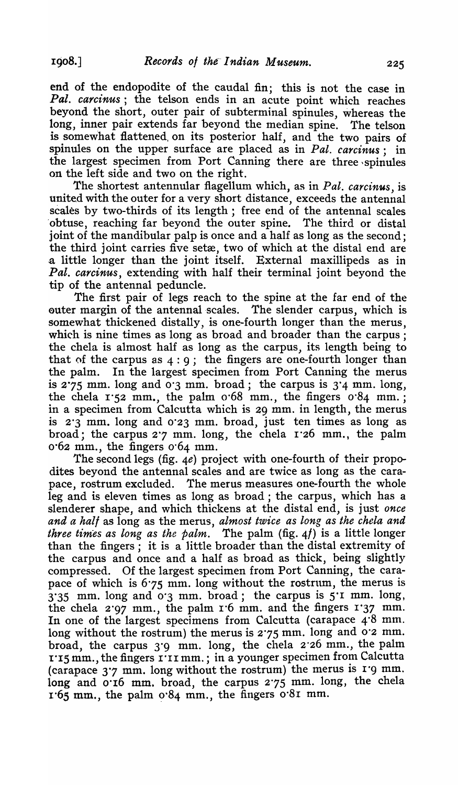end of the endopodite of the caudal fin; this is not the case in *Pal. carcinus;* the telson ends in an acute point which reaches beyond the short, outer pair of subterminal spinules, whereas the long, inner pair extends far beyond the median spine. The telson is somewhat flattened, on its posterior half, and the two pairs of spinules on the upper surface are placed as in *Pal. carcinus;* in the largest specimen from Port Canning there are three ,spinules on the left side and two on the right.

The shortest antennular flagellum which, as in *Pal. carcinus,* is united with the outer for a very short distance, exceeds the antennal scales by two-thirds of its length; free end of the antennal scales 'obtuse, reaching far beyond the outer spine. The third or distal joint of the mandibular palp is once and a half as long as the second; the third joint carries five setæ, two of which at the distal end are .a little longer than the joint itself. External maxillipeds as in *Pal. carcinus,* extending with half their terminal joint beyond the tip of the antennal peduncle.

The first pair of legs reach to the spine at the far end of the outer margin of the antennal scales. The slender carpus, which is somewhat thickened distally, is one-fourth longer than the merus, which is nine times as long as broad and broader than the carpus: the chela is almost half as long as the carpus, its length being to that of the carpus as  $4:9$ ; the fingers are one-fourth longer than the palm. In the largest specimen from Port Canning the merus is  $2.75$  mm. long and  $0.3$  mm. broad; the carpus is  $3.4$  mm. long, the chela 1.52 mm., the palm 0.68 mm., the fingers 0.84 mm.; in a specimen from Calcutta which is 29 mm. in length, the merus is 2·3 mm. long and 0·23 mm. broad, just ten times as long as broad; the carpus 2"7 mm. long, the chela r·26 mm., the palm 0·62 mm., the fingers 0'64 mm.

The second legs (fig. *4e)* project with one-fourth of their propodites beyond the antennal scales and are twice as long as the carapace, rostrum excluded. The merus measures one-fourth the whole leg and is eleven times as long as broad ; the carpus, which has a slenderer shape, and which thickens at the distal end, is just *once and a half* as long as the merus, *almost twice as long as the chela and three times as long as the palm"* The palm (fig. *4f)* is a little longer than the fingers; it is a little broader than the distal extremity of the carpus and once and a half as broad as thick, being slightly compressed. Of the largest specimen from Port Canning, the carapace of which is 6'75 mm. long without the rostrum, the merus is 3·35 mm. long and 0·3 mm. broad; the carpus is 5·r mm. long, the chela 2'97 mm., the palm 1'6 mm. and the fingers 1·37 mm. In one of the largest specimens from Calcutta (carapace 4'8 mm. long without the rostrum) the merus is 2'75 mm. long and 0'2 mm. broad, the carpus 3'9 mm. long, the chela 2'26 mm., the palm r·I5 mm., the fingers I·rI mm.; in a younger specimen from Calcutta (carapace 3·7 mm. long without the rostrum) the merus is r·9 mm. long and 0.16 mm. broad, the carpus 2.75 mm. long, the chela  $1.65$  mm., the palm  $0.84$  mm., the fingers  $0.81$  mm.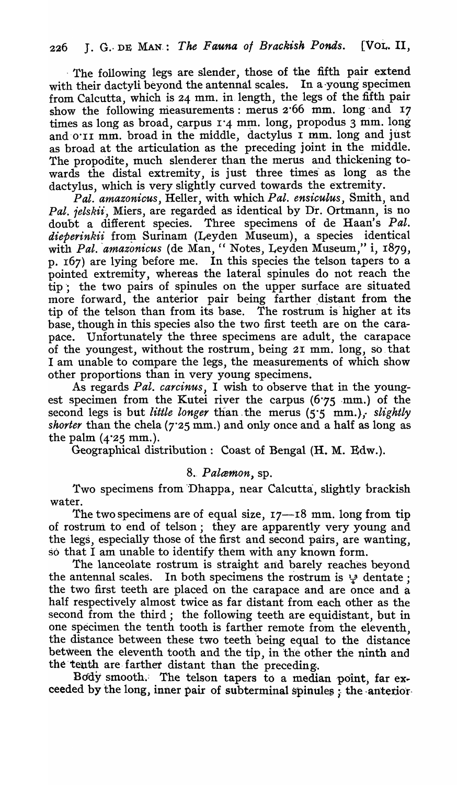The following legs are slender, those of the fifth pair extend with their dactyli beyond the antennal scales. In a young specimen from Calcutta, which is 24 mm. in. length, the legs of the fifth pair show the following measurements: merus 2'66 mm. long' and 17 times as long as broad, carpus  $1.4$  mm. long, propodus 3 mm. long and o'II mm. broad in the middle, dactylus I mm. long and just as broad at the articulation as the preceding joint in the middle. The propodite, much slenderer than the merus and thickening towards the distal extremity, is just three times as long as the dactylus, which is very slightly curved towards the extremity.

*Pal. atnazonicus,* Heller, with which *Pal. ensiculus,* Smith, and *Pal. ielskii-,* Miers, are regarded as identical by Dr. Ortmann, is no doubt a different species. Three specimens of de Haan's *Pal.*  dieperinkii from Surinam (Leyden Museum), a species identical with Pal. amazonicus (de Man, "Notes, Leyden Museum," i, 1879, p. r67) are lying before me. In this species the telson tapers to a pointed extremity, whereas the lateral spinules do not reach the tip; the two pairs of spinules on the upper surface are situated more forward, the anterior pair being farther distant from the tip of the telson than from its base. The rostrum is-higher at its base, though in this species also the two first teeth are on the carapace. Unfortunately the three specimens are adult, the carapace of the youngest, without the rostrum, being 21 mm. long, so, that I am unable to compare the legs, the measurements of which show other proportions than in very young specimens.

As regards *Pal. carcinus,* I wish to observe that in the youngest specimen from the Kutei river the carpus (6.75 mm.) of the second legs is but *little longer* than the merus (5.5 mm.), *slightly shorter* than the chela ( $7.25$  mm.) and only once and a half as long as the palm  $(4.25$  mm.).

Geographical distribution: Coast of Bengal (H. M. Edw.).

## 8. Palæmon, sp.

Two specimens from Dhappa, near Calcutta, slightly brackish water.

The two specimens are of equal size,  $17-18$  mm. long from tip of rostrum to end of telson; they are apparently very young and the legs, especially those of the first and second pairs, are wanting, so that I am unable to identify them with any known form.

The lanceolate rostrum is straight and barely reaches beyond the antennal scales. In both specimens the rostrum is  $\frac{13}{2}$  dentate; the two first teeth are placed on the carapace and are once and a half respectively almost twice as far distant from each other as the second from the third; the following teeth are equidistant, but in one specimen the tenth tooth is farther remote from the eleventh the distance between these two teeth being equal to the distance between the eleventh tooth and the tip, in the other the ninth and the tenth are farther distant than the preceding.

Body smooth. The telson tapers to a median point, far exceeded by the long, inner pair of subterminal spinules ; the anterior-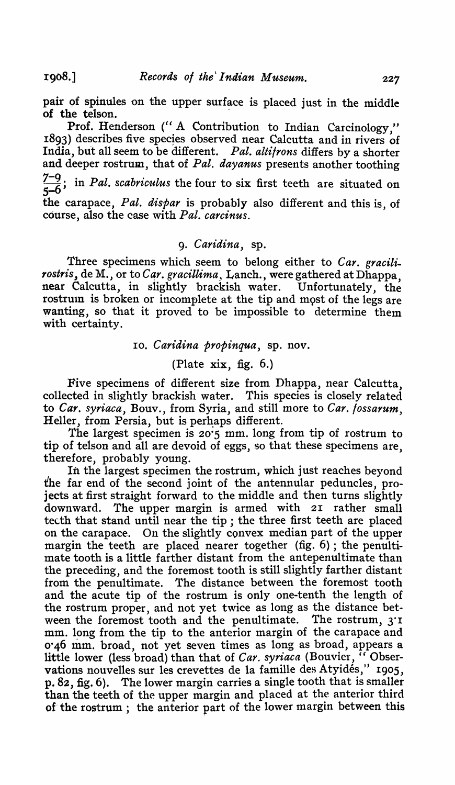pair of spinules on the upper surface is placed just in the middle of the telson.

Prof. Henderson ("A Contribution to Indian Carcinology." 1893) describes five species observed near Calcutta and in rivers of India, but all seem to be different. *Pal. altifrons* differs by a shorter and deeper rostrum, that of *Pal. dayanus* presents another toothing  $\frac{7-9}{5-6}$ ; in *Pal. scabriculus* the four to six first teeth are situated on the carapace, *Pal. dispar* is probably also different and this is, of course, also the case with *Pal. carcinus.* 

#### *9. Caridina,* sp.

Three specimens which seem to belong either to *Car. gracili. rostris*, de M., or to *Car. gracillima*, Lanch., were gathered at Dhappa, near Calcutta, in slightly brackish water. Unfortunately, the near Calcutta, in slightly brackish water. rostrum is broken or incomplete at the tip and most of the legs are wanting, so that it proved to be impossible to determine them with certainty.

10. C *aridina propinqua,* sp. nov.

(Plate xix, fig. 6.)

Five specimens of different size from Dhappa, near Calcutta, collected in slightly brackish water. This species is closely related to *Car. syriaca*, Bouv., from Syria, and still more to *Car. fossarum*, Heller, from Persia, but is perhaps different.

The largest specimen is 20·5 mm. long from tip of rostrum to tip of telson and all are devoid of eggs, so that these specimens are, therefore, probably young.

In the largest specimen the rostrum, which just reaches beyond the far end of the second joint of the antennular peduncles, projects at first straight forward to the middle and then turns slightly downward. The upper margin is armed with 21 rather small teeth that stand until near the tip; the three first teeth are placed on the carapace. On the slightly convex median part of the upper margin the teeth are placed nearer together (fig. 6); the penultimate tooth is a little farther distant from the antepenultimate than the preceding, and the foremost tooth is still slightly farther distant from the penultimate. The distance between the foremost tooth and the acute tip of the rostrum is only one-tenth the length of the rostrum proper, and not yet twice as long as the distance between the foremost tooth and the penultimate. The rostrum, 3·r mm. long from the tip to the anterior margin of the carapace and 0.46 mm. broad, not yet seven times as long as broad, appears a little lower (less broad) than that of *Car. syriaca* (Bouvier, <sup>7</sup> Observations nouvelles sur les crevettes de la famille des Atyidés," 1905,  $p. 82$ , fig. 6). The lower margin carries a single tooth that is smaller than the teeth of the upper margin and placed at the anterior third of the rostrum; the anterior part of the lower margin between this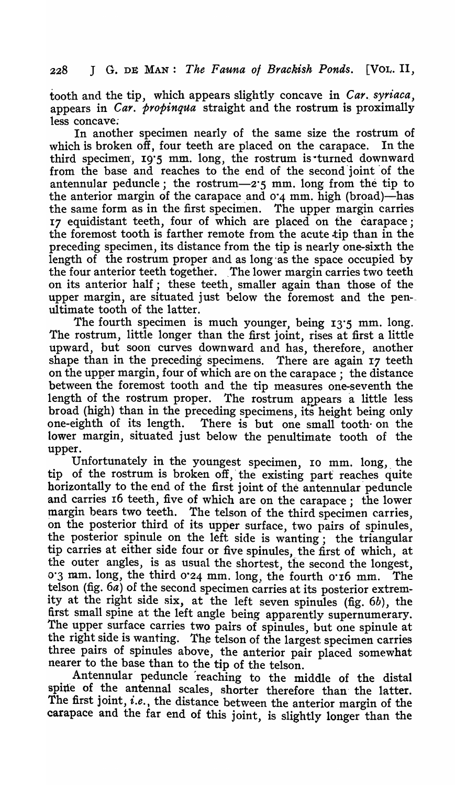tooth and the tip, which appears slightly concave in *Car. syriaca*, appears in *Car. propinqua* straight and the rostrum is proximally less concave;

In another specimen nearly of the same size the rostrum of which is broken off, four teeth are placed on the carapace. In the third specimen, 19'5 mm. long, the rostrum is turned downward from the base and reaches to the end of the second 'joint 'of the antennular peduncle; the rostrum- $2.5$  mm. long from the tip to the anterior margin of the carapace and  $0.4$  mm. high (broad)—has the same form as in the first specimen. The upper margin carries 17 equidistant teeth, four of which are placed on the carapace; the foremost tooth is farther remote from the acute tip than in the preceding specimen, its distance from the tip is nearly one-sixth the length of the rostrum proper and as long as the space occupied by the four anterior teeth together. The lower margin carries two teeth on its anterior half; these teeth, smaller again than those of the upper margin, are situated just below the foremost and the pen- ultimate tooth of the latter.

The fourth specimen is much younger, being 13'5 mm. long. The rostrum, little longer than the first joint, rises at first a little upward, but soon curves downward and has, therefore, another shape than in the preceding specimens. There are again 17 teeth on the upper margin, four of which are on the carapace; the distance between the foremost tooth and the tip measures one-seventh the length of the rostrum proper. The rostrum appears a little less broad (high) than in the preceding specimens, its height being only one-eighth of its length. There is but one small tooth on the lower margin, situated just below the penultimate tooth of the upper.

Unfortunately in the youngest specimen, 10 mm. long, the tip of the rostrum is broken off, the existing part reaches quite horizontally to the end of the first joint of the antennular peduncle and carries 16 teeth, five of which are on the carapace; the lower margin bears two teeth. The telson of the third specimen carries, on the posterior third of its upper surface, two pairs of spinules, the posterior spinule on the left side is wanting; the triangular tip carries at either side four or five spinules, the first of which, at the outer angles, is as usual the shortest, the second the longest, 0'3 mm. long, the third 0'24 mm. long, the fourth 0'16 mm. The telson (fig.  $6a$ ) of the second specimen carries at its posterior extremity at the right side six, at the left seven spinules (fig. 6b), the first small spine at the left angle being apparently supernumerary\_ The upper surface carries two pairs of spinules, but one spinule at the right side is wanting. The telson of the largest specimen carries three pairs of spinules above, the anterior pair placed somewhat nearer to the base than to the tip of the telson.

Antennular peduncle 'reaching to the middle of the distal spine of the antennal scales, shorter therefore than the latter. The first joint, *i.e.,* the distance between the anterior margin of the carapace and the far end of this joint, is slightly longer than the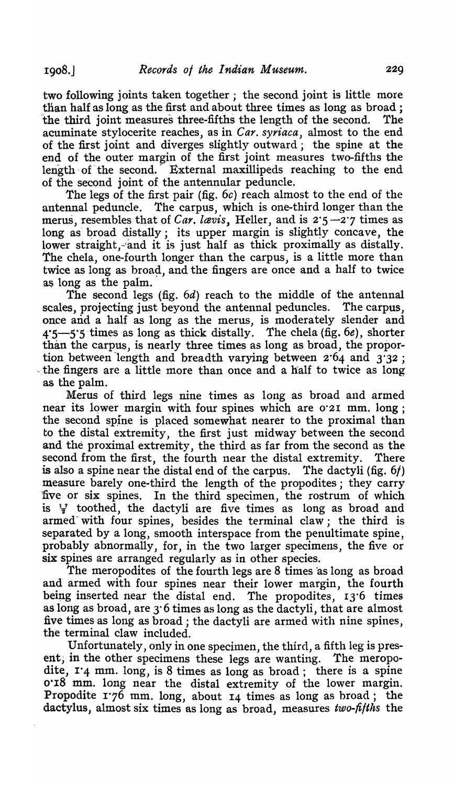two following joints taken together; the second joint is little more than half as long as the first and about three times as long as broad; the third joint measures three-fifths the length of the second. The acuminate stylocerite reaches, as in *Car. syriaca,* almost to the end of the first joint and diverges slightly outward; the spine at the end of the outer margin of the first joint measures two-fifths the length of the second. External maxillipeds reaching to the end of the second joint of the antennular peduncle.

The legs of the first pair (fig.  $6c$ ) reach almost to the end of the antennal peduncle. The carpus, which is one-third longer than the merus, resembles that of *Car. lavis*, Heller, and is 2.5-2.7 times as long as broad distally; its upper margin is slightly concave, the lower straight, and it is just half as thick proximally as distally. The chela, one-fourth longer than the carpus, is a little more than twice as long as broad, and the fingers are once and a half to twice as long as the palm.

The second legs (fig.  $6d$ ) reach to the middle of the antennal scales, projecting just beyond the antennal peduncles. The carpus, once and a half as long as the merus, is moderately slender and  $4.5 - 5.5$  times as long as thick distally. The chela (fig. 6e), shorter than the carpus, is nearly three times as long as broad, the proportion between length and breadth varying between  $2.64$  and  $3.32$ ; the fingers are a little more than once and a half to twice as long as the palm.

Merus of third legs nine times as long as broad and armed near its lower margin with four spines which are 0.2I mm. long; the second spine is placed somewhat nearer to the proximal than to the distal extremity, the first just midway between the second and the proximal extremity, the third as far from the second as the second from the first, the fourth near the distal extremity. There is also a spine near the distal end of the carpus. The dactyli (fig. 6/) measure barely one-third the length of the propodites; they carry five or six spines. In the third specimen, the rostrum of which is  $\frac{1}{2}$  toothed, the dactyli are five times as long as broad and armed' with four spines, besides the terminal claw; the third is separated by a long, smooth interspace from the penultimate spine, probably abnormally, for, in the two larger specimens, the five or six spines are arranged regularly as in other species.

The meropodites of the fourth legs are  $8$  times as long as broad and armed with four spines near their lower margin, the fourth being inserted near the distal end. The propodites,  $13.6$  times as long as broad, are 3·6 times as long as the dactyli, that are almost five times as long as broad; the dactyli are armed with nine spines, the terminal claw included.

Unfortunately, only in one specimen, the third, a fifth leg is present; in the other specimens these legs are wanting. The meropodite,  $I'$ 4 mm. long, is 8 times as long as broad; there is a spine 0.18 mm. long near the distal extremity of the lower margin. Propodite  $1.76$  mm. long, about  $14$  times as long as broad; the dactylus, almost six times as long as broad, measures *two-fifths* the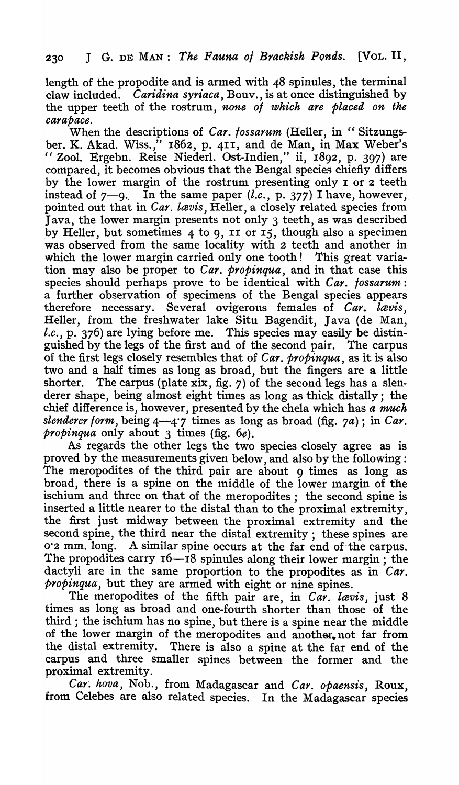length of the'propodite and is armed with 48 spinules, the terminal claw included. *Caridina syriaca,* Bouv., is at once distinguished by the upper teeth of the rostrum, *none of which are placed on the carapace.* 

When the descriptions of *Car. fossarum* (Heller, in " Sitzungsber. K. Akad. Wiss.," 1862, p. 411, and de Man, in Max Weber's i( Zool. Ergebn. Reise Niederl. Ost-Indien," ii, 1892, p. 397) are compared, it becomes obvious that the Bengal species chiefly differs by the lower margin of the rostrum presenting only I or 2 teeth instead of  $7-9$ . In the same paper  $(l.c., p. 377)$  I have, however, pointed out that in *Car. lavis,* Heller, a closely related species from Java, the lower margin presents not only 3 teeth, as was described .by Heller, but sometimes 4 to 9, II or 15, though also a specimen was observed from the same locality with 2 teeth and another in which the lower margin carried only one tooth! This great variation may also be proper to *Car. propinqua,* and in that case this species should perhaps prove to be identical with *Car. fossarum:*  a further observation of specimens of the Bengal species appears therefore necessary. Several ovigerous females of *Car. lævis*, Heller, from the freshwater lake Situ Bagendit, Java (de Man, *l.c.,* p. 376) are lying before me. This species may easily be distinguished by the legs of the first and of the second pair. The carpus of the first legs closely resembles that of *Car. propinqua,* as it is also two and a half times as long as broad, but the fingers are a little shorter. The carpus (plate xix, fig. 7) of the second legs has a slenderer shape, being almost eight times as long as thick distally; the chief difference is, however, presented by the chela which has *a much slenderer form, being 4—4.7* times as long as broad (fig.  $7a$ ); in *Car*. *propinqua* only about 3 times (fig. *6e).* 

As regards the other legs the two species closely agree as is proved by the measurements given below, and also by the following: The meropodites of the third pair are about 9 times as long as broad, there is a spine on the middle of the lower margin of the ischium and three on that of the meropodites; the second spine is inserted a little nearer to the distal than to the proximal extremity, the first just midway between the proximal extremity and the second spine, the third near the distal extremity; these spines are 0.2 mm. long. A similar spine occurs at the far end of the carpus. The propodites carry  $16-\bar{18}$  spinules along their lower margin; the dactyli are in the same proportion to the propodites as in *Car. propinqua,* but they are armed with eight or nine spines.

The meropodites of the fifth pair are, in *Car. lævis*, just 8 times as long as broad and one-fourth shorter than those of the third; the ischium has no spine, but there is a spine near the middle of the lower margin of the meropodites and another, not far from the distal extremity. There is also a spine at the far end of the carpus and three smaller spines between the former and the proximal extremity.

Car. hova, Nob., from Madagascar and *Car. opaensis*, Roux, from Celebes are also related species. In the Madagascar species